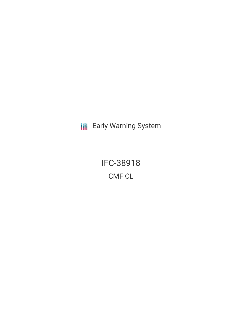**III** Early Warning System

IFC-38918 CMF CL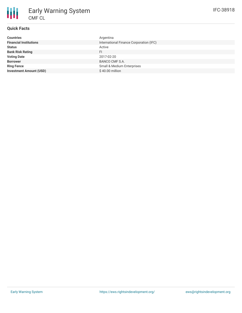## **Quick Facts**

| <b>Countries</b>               | Argentina                               |
|--------------------------------|-----------------------------------------|
| <b>Financial Institutions</b>  | International Finance Corporation (IFC) |
| <b>Status</b>                  | Active                                  |
| <b>Bank Risk Rating</b>        | FI                                      |
| <b>Voting Date</b>             | 2017-02-20                              |
| <b>Borrower</b>                | BANCO CMF S.A.                          |
| <b>Ring Fence</b>              | Small & Medium Enterprises              |
| <b>Investment Amount (USD)</b> | $$40.00$ million                        |
|                                |                                         |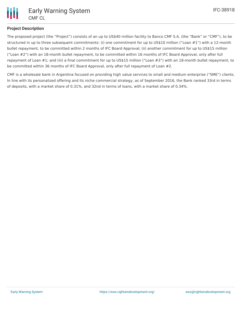

### **Project Description**

The proposed project (the "Project") consists of an up to US\$40 million facility to Banco CMF S.A. (the "Bank" or "CMF"), to be structured in up to three subsequent commitments: (i) one commitment for up to US\$10 million ("Loan #1") with a 12-month bullet repayment, to be committed within 2 months of IFC Board Approval; (ii) another commitment for up to US\$15 million ("Loan #2") with an 18-month bullet repayment, to be committed within 16 months of IFC Board Approval, only after full repayment of Loan #1; and (iii) a final commitment for up to US\$15 million ("Loan #3") with an 18-month bullet repayment, to be committed within 36 months of IFC Board Approval, only after full repayment of Loan #2.

CMF is a wholesale bank in Argentina focused on providing high value services to small and medium enterprise ("SME") clients. In line with its personalized offering and its niche commercial strategy, as of September 2016, the Bank ranked 33rd in terms of deposits, with a market share of 0.31%, and 32nd in terms of loans, with a market share of 0.34%.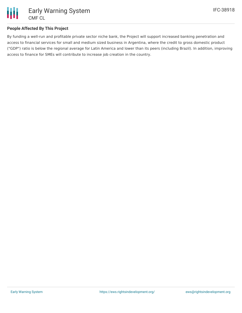

### **People Affected By This Project**

By funding a well-run and profitable private sector niche bank, the Project will support increased banking penetration and access to financial services for small and medium sized business in Argentina, where the credit to gross domestic product ("GDP") ratio is below the regional average for Latin America and lower than its peers (including Brazil). In addition, improving access to finance for SMEs will contribute to increase job creation in the country.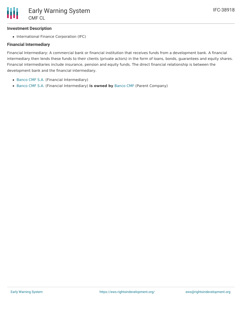# **Investment Description**

• International Finance Corporation (IFC)

# **Financial Intermediary**

Financial Intermediary: A commercial bank or financial institution that receives funds from a development bank. A financial intermediary then lends these funds to their clients (private actors) in the form of loans, bonds, guarantees and equity shares. Financial intermediaries include insurance, pension and equity funds. The direct financial relationship is between the development bank and the financial intermediary.

- [Banco](file:///actor/808/) CMF S.A. (Financial Intermediary)
- [Banco](file:///actor/808/) CMF S.A. (Financial Intermediary) **is owned by** [Banco](file:///actor/3581/) CMF (Parent Company)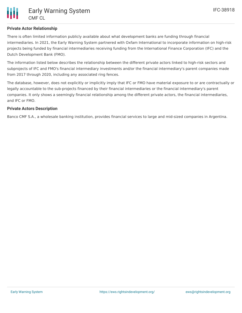### **Private Actor Relationship**

There is often limited information publicly available about what development banks are funding through financial intermediaries. In 2021, the Early Warning System partnered with Oxfam International to incorporate information on high-risk projects being funded by financial intermediaries receiving funding from the International Finance Corporation (IFC) and the Dutch Development Bank (FMO).

The information listed below describes the relationship between the different private actors linked to high-risk sectors and subprojects of IFC and FMO's financial intermediary investments and/or the financial intermediary's parent companies made from 2017 through 2020, including any associated ring fences.

The database, however, does not explicitly or implicitly imply that IFC or FMO have material exposure to or are contractually or legally accountable to the sub-projects financed by their financial intermediaries or the financial intermediary's parent companies. It only shows a seemingly financial relationship among the different private actors, the financial intermediaries, and IFC or FMO.

#### **Private Actors Description**

Banco CMF S.A., a wholesale banking institution, provides financial services to large and mid-sized companies in Argentina.